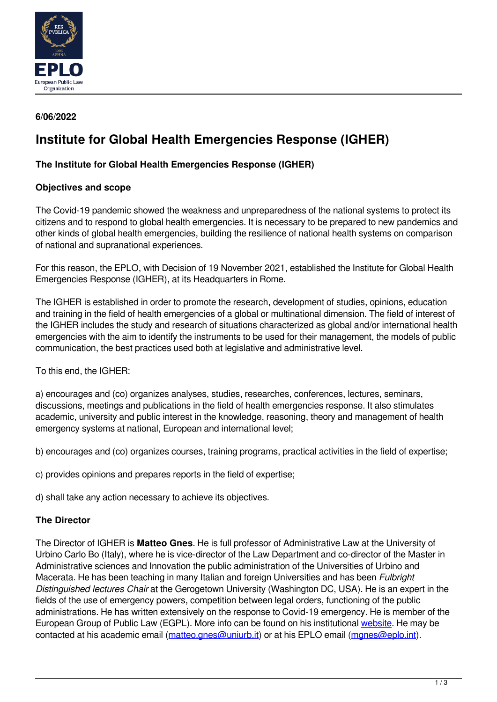

# **6/06/2022**

# **Institute for Global Health Emergencies Response (IGHER)**

# **The Institute for Global Health Emergencies Response (IGHER)**

### **Objectives and scope**

The Covid-19 pandemic showed the weakness and unpreparedness of the national systems to protect its citizens and to respond to global health emergencies. It is necessary to be prepared to new pandemics and other kinds of global health emergencies, building the resilience of national health systems on comparison of national and supranational experiences.

For this reason, the EPLO, with Decision of 19 November 2021, established the Institute for Global Health Emergencies Response (IGHER), at its Headquarters in Rome.

The IGHER is established in order to promote the research, development of studies, opinions, education and training in the field of health emergencies of a global or multinational dimension. The field of interest of the IGHER includes the study and research of situations characterized as global and/or international health emergencies with the aim to identify the instruments to be used for their management, the models of public communication, the best practices used both at legislative and administrative level.

To this end, the IGHER:

a) encourages and (co) organizes analyses, studies, researches, conferences, lectures, seminars, discussions, meetings and publications in the field of health emergencies response. It also stimulates academic, university and public interest in the knowledge, reasoning, theory and management of health emergency systems at national, European and international level;

b) encourages and (co) organizes courses, training programs, practical activities in the field of expertise;

c) provides opinions and prepares reports in the field of expertise;

d) shall take any action necessary to achieve its objectives.

### **The Director**

The Director of IGHER is **Matteo Gnes**. He is full professor of Administrative Law at the University of Urbino Carlo Bo (Italy), where he is vice-director of the Law Department and co-director of the Master in Administrative sciences and Innovation the public administration of the Universities of Urbino and Macerata. He has been teaching in many Italian and foreign Universities and has been *Fulbright Distinguished lectures Chair* at the Gerogetown University (Washington DC, USA). He is an expert in the fields of the use of emergency powers, competition between legal orders, functioning of the public administrations. He has written extensively on the response to Covid-19 emergency. He is member of the European Group of Public Law (EGPL). More info can be found on his institutional [website](https://www.uniurb.it/persone/matteo-gnes). He may be contacted at his academic email ([matteo.gnes@uniurb.it](mailto:matteo.gnes@uniurb.it)) or at his EPLO email ([mgnes@eplo.int\)](mailto:mgnes@eplo.int).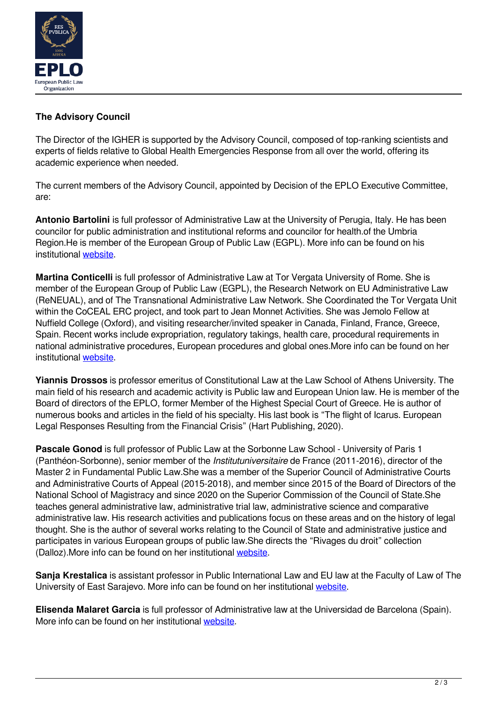

# **The Advisory Council**

The Director of the IGHER is supported by the Advisory Council, composed of top-ranking scientists and experts of fields relative to Global Health Emergencies Response from all over the world, offering its academic experience when needed.

The current members of the Advisory Council, appointed by Decision of the EPLO Executive Committee, are:

**Antonio Bartolini** is full professor of Administrative Law at the University of Perugia, Italy. He has been councilor for public administration and institutional reforms and councilor for health.of the Umbria Region.He is member of the European Group of Public Law (EGPL). More info can be found on his institutional [website.](https://www.unipg.it/personale/antonio.bartolini/cv)

**Martina Conticelli** is full professor of Administrative Law at Tor Vergata University of Rome. She is member of the European Group of Public Law (EGPL), the Research Network on EU Administrative Law (ReNEUAL), and of The Transnational Administrative Law Network. She Coordinated the Tor Vergata Unit within the CoCEAL ERC project, and took part to Jean Monnet Activities. She was Jemolo Fellow at Nuffield College (Oxford), and visiting researcher/invited speaker in Canada, Finland, France, Greece, Spain. Recent works include expropriation, regulatory takings, health care, procedural requirements in national administrative procedures, European procedures and global ones.More info can be found on her institutional [website.](https://economia.uniroma2.it/faculty/47/conticelli-martina)

**Yiannis Drossos** is professor emeritus of Constitutional Law at the Law School of Athens University. The main field of his research and academic activity is Public law and European Union law. He is member of the Board of directors of the EPLO, former Member of the Highest Special Court of Greece. He is author of numerous books and articles in the field of his specialty. His last book is "The flight of Icarus. European Legal Responses Resulting from the Financial Crisis" (Hart Publishing, 2020).

**Pascale Gonod** is full professor of Public Law at the Sorbonne Law School - University of Paris 1 (Panthéon-Sorbonne), senior member of the *Institutuniversitaire* de France (2011-2016), director of the Master 2 in Fundamental Public Law.She was a member of the Superior Council of Administrative Courts and Administrative Courts of Appeal (2015-2018), and member since 2015 of the Board of Directors of the National School of Magistracy and since 2020 on the Superior Commission of the Council of State.She teaches general administrative law, administrative trial law, administrative science and comparative administrative law. His research activities and publications focus on these areas and on the history of legal thought. She is the author of several works relating to the Council of State and administrative justice and participates in various European groups of public law.She directs the "Rivages du droit" collection (Dalloz).More info can be found on her institutional [website](https://www.pantheonsorbonne.fr/page-perso/pgonod).

**Sanja Krestalica** is assistant professor in Public International Law and EU law at the Faculty of Law of The University of East Sarajevo. More info can be found on her institutional [website](https://www.pravni.ues.rs.ba/nastavno-osoblje/8846-visi-asistent-sanja-krestalica-mr-en).

**Elisenda Malaret Garcia** is full professor of Administrative law at the Universidad de Barcelona (Spain). More info can be found on her institutional [website.](https://webgrec.ub.edu/webpages/000002/ang/elisenda.malaret.ub.edu.html)